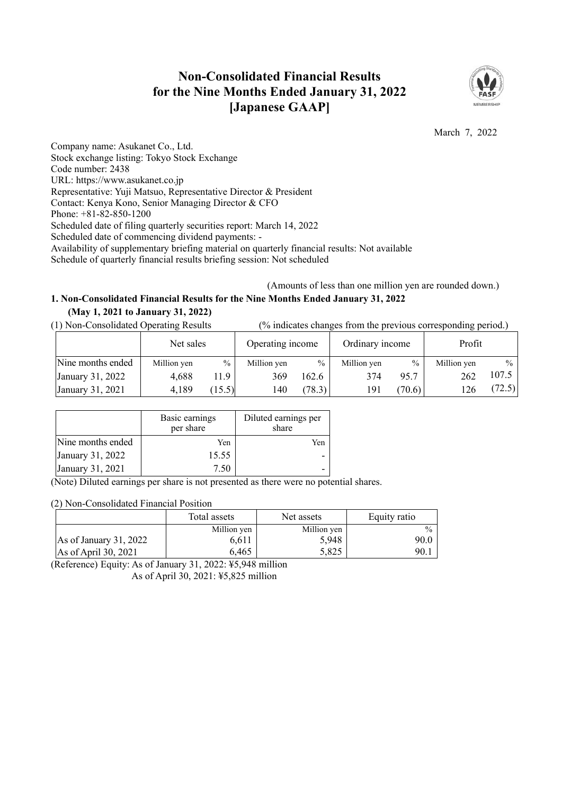# **Non-Consolidated Financial Results for the Nine Months Ended January 31, 2022 [Japanese GAAP]**



March 7, 2022

Company name: Asukanet Co., Ltd. Stock exchange listing: Tokyo Stock Exchange Code number: 2438 URL: https://www.asukanet.co.jp Representative: Yuji Matsuo, Representative Director & President Contact: Kenya Kono, Senior Managing Director & CFO Phone: +81-82-850-1200 Scheduled date of filing quarterly securities report: March 14, 2022 Scheduled date of commencing dividend payments: - Availability of supplementary briefing material on quarterly financial results: Not available Schedule of quarterly financial results briefing session: Not scheduled

(Amounts of less than one million yen are rounded down.)

## **1. Non-Consolidated Financial Results for the Nine Months Ended January 31, 2022 (May 1, 2021 to January 31, 2022)**

(1) Non-Consolidated Operating Results (% indicates changes from the previous corresponding period.)

|                   | Net sales   |               | Operating income |        | Ordinary income |        | Profit      |               |
|-------------------|-------------|---------------|------------------|--------|-----------------|--------|-------------|---------------|
| Nine months ended | Million yen | $\frac{0}{0}$ | Million yen      | $\%$   | Million yen     | $\%$   | Million yen | $\frac{0}{0}$ |
| January 31, 2022  | 4,688       | 11.9          | 369              | 162.6  | 374             | 95.7   | 262         | 107.5         |
| January 31, 2021  | 4,189       | $15.5$ )      | 140              | (78.3) | 191             | (70.6) |             | (72.5)        |

|                   | Basic earnings<br>per share | Diluted earnings per<br>share |
|-------------------|-----------------------------|-------------------------------|
| Nine months ended | Yen                         | Yen                           |
| January 31, 2022  | 15.55                       |                               |
| January 31, 2021  | 7.50                        |                               |
| $T \rightarrow T$ |                             |                               |

(Note) Diluted earnings per share is not presented as there were no potential shares.

(2) Non-Consolidated Financial Position

|                         | Total assets | Net assets  | Equity ratio  |
|-------------------------|--------------|-------------|---------------|
|                         | Million yen  | Million yen | $\frac{0}{0}$ |
| As of January $31,2022$ | 6,611        | 5,948       | 90.0          |
| As of April 30, 2021    | 6.465        | 5.825       | 90.           |

(Reference) Equity: As of January 31, 2022: ¥5,948 million As of April 30, 2021: ¥5,825 million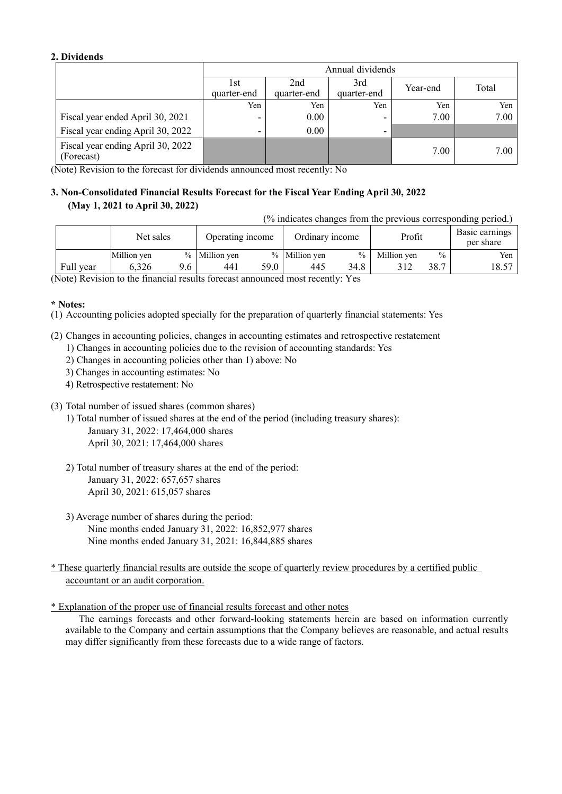### **2. Dividends**

|                                                 |                          | Annual dividends   |                    |          |       |  |  |  |  |
|-------------------------------------------------|--------------------------|--------------------|--------------------|----------|-------|--|--|--|--|
|                                                 | 1st<br>quarter-end       | 2nd<br>quarter-end | 3rd<br>quarter-end | Year-end | Total |  |  |  |  |
|                                                 | Yen                      | Yen                | Yen                | Yen      | Yen   |  |  |  |  |
| Fiscal year ended April 30, 2021                | $\overline{\phantom{0}}$ | 0.00               |                    | 7.00     | 7.00  |  |  |  |  |
| Fiscal year ending April 30, 2022               | -                        | 0.00               | -                  |          |       |  |  |  |  |
| Fiscal year ending April 30, 2022<br>(Forecast) |                          |                    |                    | 7.00     | 7.00  |  |  |  |  |

(Note) Revision to the forecast for dividends announced most recently: No

# **3. Non-Consolidated Financial Results Forecast for the Fiscal Year Ending April 30, 2022 (May 1, 2021 to April 30, 2022)**

(% indicates changes from the previous corresponding period.)

|                                             | Net sales   |     | Operating income |      | Ordinary income |               | Profit      |               | Basic earnings<br>per share |
|---------------------------------------------|-------------|-----|------------------|------|-----------------|---------------|-------------|---------------|-----------------------------|
|                                             | Million yen |     | % Million yen    |      | % Million yen   | $\frac{0}{0}$ | Million yen | $\frac{0}{0}$ | Yen                         |
| Full year                                   | 6.326       | 9.6 | 441              | 59.0 | 445             | 34.8          |             | 38.7          | 18.57                       |
| $\Delta$ T $\rightarrow$ $\mathbf{\bar{n}}$ |             |     |                  |      |                 | $\mathbf{v}$  |             |               |                             |

(Note) Revision to the financial results forecast announced most recently: Yes

### **\* Notes:**

(1) Accounting policies adopted specially for the preparation of quarterly financial statements: Yes

- (2) Changes in accounting policies, changes in accounting estimates and retrospective restatement
	- 1) Changes in accounting policies due to the revision of accounting standards: Yes
	- 2) Changes in accounting policies other than 1) above: No
	- 3) Changes in accounting estimates: No
	- 4) Retrospective restatement: No
- (3) Total number of issued shares (common shares)
	- 1) Total number of issued shares at the end of the period (including treasury shares): January 31, 2022: 17,464,000 shares April 30, 2021: 17,464,000 shares
	- 2) Total number of treasury shares at the end of the period: January 31, 2022: 657,657 shares April 30, 2021: 615,057 shares
	- 3) Average number of shares during the period: Nine months ended January 31, 2022: 16,852,977 shares Nine months ended January 31, 2021: 16,844,885 shares

\* These quarterly financial results are outside the scope of quarterly review procedures by a certified public accountant or an audit corporation.

\* Explanation of the proper use of financial results forecast and other notes

The earnings forecasts and other forward-looking statements herein are based on information currently available to the Company and certain assumptions that the Company believes are reasonable, and actual results may differ significantly from these forecasts due to a wide range of factors.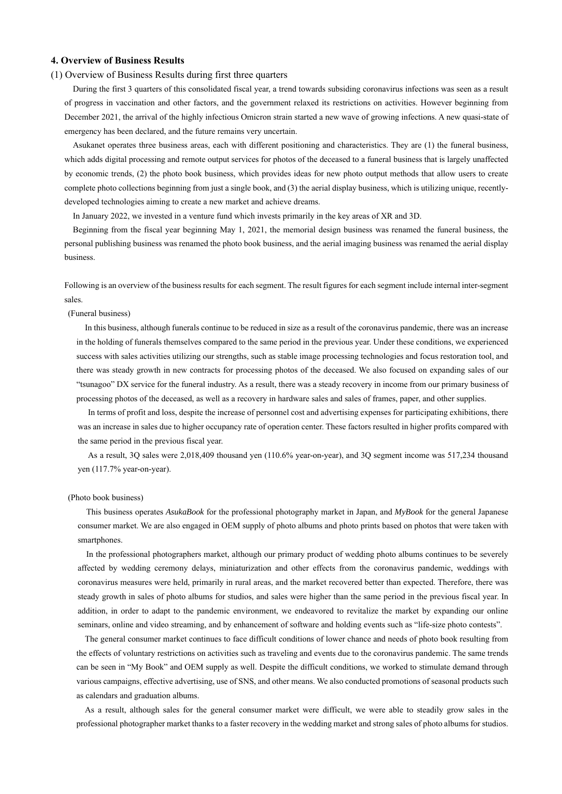#### **4. Overview of Business Results**

#### (1) Overview of Business Results during first three quarters

During the first 3 quarters of this consolidated fiscal year, a trend towards subsiding coronavirus infections was seen as a result of progress in vaccination and other factors, and the government relaxed its restrictions on activities. However beginning from December 2021, the arrival of the highly infectious Omicron strain started a new wave of growing infections. A new quasi-state of emergency has been declared, and the future remains very uncertain.

Asukanet operates three business areas, each with different positioning and characteristics. They are (1) the funeral business, which adds digital processing and remote output services for photos of the deceased to a funeral business that is largely unaffected by economic trends, (2) the photo book business, which provides ideas for new photo output methods that allow users to create complete photo collections beginning from just a single book, and (3) the aerial display business, which is utilizing unique, recentlydeveloped technologies aiming to create a new market and achieve dreams.

In January 2022, we invested in a venture fund which invests primarily in the key areas of XR and 3D.

Beginning from the fiscal year beginning May 1, 2021, the memorial design business was renamed the funeral business, the personal publishing business was renamed the photo book business, and the aerial imaging business was renamed the aerial display business.

Following is an overview of the business results for each segment. The result figures for each segment include internal inter-segment sales.

(Funeral business)

In this business, although funerals continue to be reduced in size as a result of the coronavirus pandemic, there was an increase in the holding of funerals themselves compared to the same period in the previous year. Under these conditions, we experienced success with sales activities utilizing our strengths, such as stable image processing technologies and focus restoration tool, and there was steady growth in new contracts for processing photos of the deceased. We also focused on expanding sales of our "tsunagoo" DX service for the funeral industry. As a result, there was a steady recovery in income from our primary business of processing photos of the deceased, as well as a recovery in hardware sales and sales of frames, paper, and other supplies.

In terms of profit and loss, despite the increase of personnel cost and advertising expenses for participating exhibitions, there was an increase in sales due to higher occupancy rate of operation center. These factors resulted in higher profits compared with the same period in the previous fiscal year.

As a result, 3Q sales were 2,018,409 thousand yen (110.6% year-on-year), and 3Q segment income was 517,234 thousand yen (117.7% year-on-year).

#### (Photo book business)

This business operates *AsukaBook* for the professional photography market in Japan, and *MyBook* for the general Japanese consumer market. We are also engaged in OEM supply of photo albums and photo prints based on photos that were taken with smartphones.

In the professional photographers market, although our primary product of wedding photo albums continues to be severely affected by wedding ceremony delays, miniaturization and other effects from the coronavirus pandemic, weddings with coronavirus measures were held, primarily in rural areas, and the market recovered better than expected. Therefore, there was steady growth in sales of photo albums for studios, and sales were higher than the same period in the previous fiscal year. In addition, in order to adapt to the pandemic environment, we endeavored to revitalize the market by expanding our online seminars, online and video streaming, and by enhancement of software and holding events such as "life-size photo contests".

The general consumer market continues to face difficult conditions of lower chance and needs of photo book resulting from the effects of voluntary restrictions on activities such as traveling and events due to the coronavirus pandemic. The same trends can be seen in "My Book" and OEM supply as well. Despite the difficult conditions, we worked to stimulate demand through various campaigns, effective advertising, use of SNS, and other means. We also conducted promotions of seasonal products such as calendars and graduation albums.

As a result, although sales for the general consumer market were difficult, we were able to steadily grow sales in the professional photographer market thanks to a faster recovery in the wedding market and strong sales of photo albums for studios.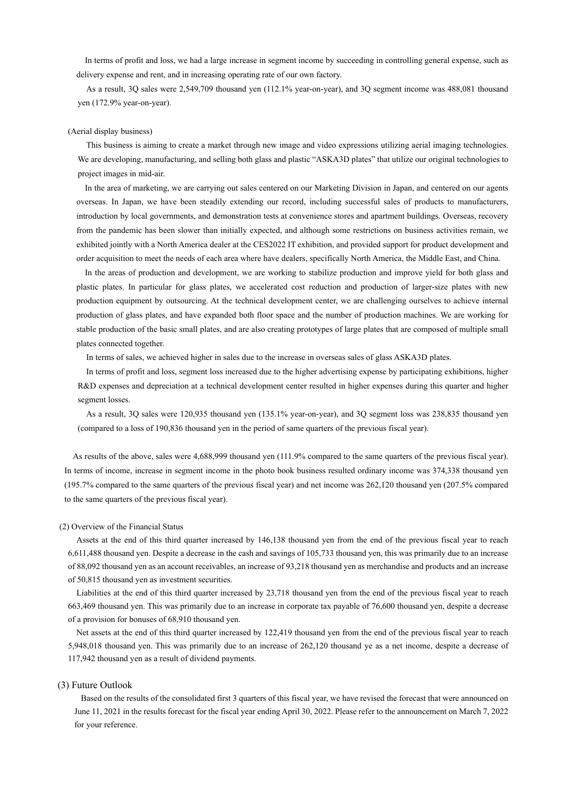In terms of profit and loss, we had a large increase in segment income by succeeding in controlling general expense, such as delivery expense and rent, and in increasing operating rate of our own factory.

As a result, 3Q sales were 2,549,709 thousand yen (112.1% year-on-year), and 3Q segment income was 488,081 thousand yen (172.9% year-on-year).

#### (Aerial display business)

This business is aiming to create a market through new image and video expressions utilizing aerial imaging technologies. We are developing, manufacturing, and selling both glass and plastic "ASKA3D plates" that utilize our original technologies to project images in mid-air.

In the area of marketing, we are carrying out sales centered on our Marketing Division in Japan, and centered on our agents overseas. In Japan, we have been steadily extending our record, including successful sales of products to manufacturers, introduction by local governments, and demonstration tests at convenience stores and apartment buildings. Overseas, recovery from the pandemic has been slower than initially expected, and although some restrictions on business activities remain, we exhibited jointly with a North America dealer at the CES2022 IT exhibition, and provided support for product development and order acquisition to meet the needs of each area where have dealers, specifically North America, the Middle East, and China.

In the areas of production and development, we are working to stabilize production and improve yield for both glass and plastic plates. In particular for glass plates, we accelerated cost reduction and production of larger-size plates with new production equipment by outsourcing. At the technical development center, we are challenging ourselves to achieve internal production of glass plates, and have expanded both floor space and the number of production machines. We are working for stable production of the basic small plates, and are also creating prototypes of large plates that are composed of multiple small plates connected together.

In terms of sales, we achieved higher in sales due to the increase in overseas sales of glass ASKA3D plates.

In terms of profit and loss, segment loss increased due to the higher advertising expense by participating exhibitions, higher R&D expenses and depreciation at a technical development center resulted in higher expenses during this quarter and higher segment losses.

As a result, 3Q sales were 120,935 thousand yen (135.1% year-on-year), and 3Q segment loss was 238,835 thousand yen (compared to a loss of 190,836 thousand yen in the period of same quarters of the previous fiscal year).

As results of the above, sales were 4,688,999 thousand yen (111.9% compared to the same quarters of the previous fiscal year). In terms of income, increase in segment income in the photo book business resulted ordinary income was 374,338 thousand yen (195.7% compared to the same quarters of the previous fiscal year) and net income was 262,120 thousand yen (207.5% compared to the same quarters of the previous fiscal year).

#### (2) Overview of the Financial Status

Assets at the end of this third quarter increased by 146,138 thousand yen from the end of the previous fiscal year to reach 6,611,488 thousand yen. Despite a decrease in the cash and savings of 105,733 thousand yen, this was primarily due to an increase of 88,092 thousand yen as an account receivables, an increase of 93,218 thousand yen as merchandise and products and an increase of 50,815 thousand yen as investment securities.

 Liabilities at the end of this third quarter increased by 23,718 thousand yen from the end of the previous fiscal year to reach 663,469 thousand yen. This was primarily due to an increase in corporate tax payable of 76,600 thousand yen, despite a decrease of a provision for bonuses of 68,910 thousand yen.

Net assets at the end of this third quarter increased by 122,419 thousand yen from the end of the previous fiscal year to reach 5,948,018 thousand yen. This was primarily due to an increase of 262,120 thousand ye as a net income, despite a decrease of 117,942 thousand yen as a result of dividend payments.

#### (3) Future Outlook

Based on the results of the consolidated first 3 quarters of this fiscal year, we have revised the forecast that were announced on June 11, 2021 in the results forecast for the fiscal year ending April 30, 2022. Please refer to the announcement on March 7, 2022 for your reference.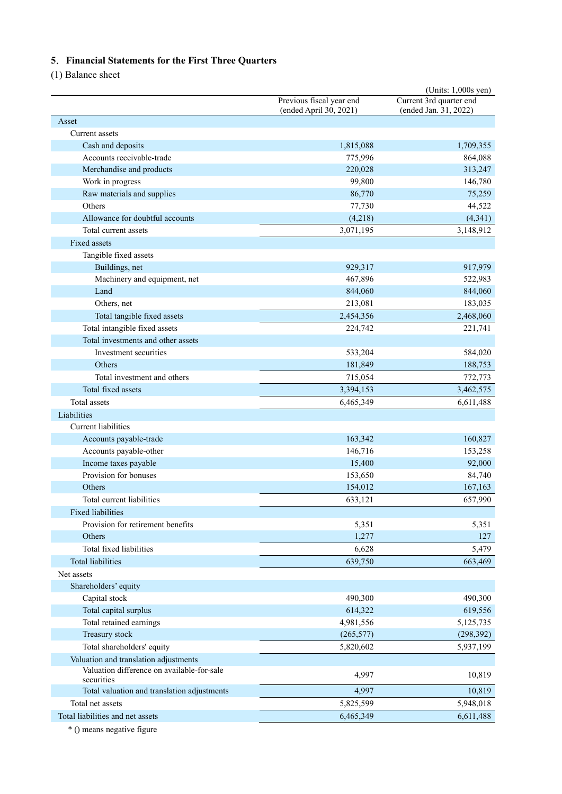# **5**.**Financial Statements for the First Three Quarters**

(1) Balance sheet

| Previous fiscal year end<br>Current 3rd quarter end<br>(ended Jan. 31, 2022)<br>(ended April 30, 2021)<br>Asset<br>Current assets<br>Cash and deposits<br>1,815,088<br>1,709,355<br>Accounts receivable-trade<br>864,088<br>775,996<br>Merchandise and products<br>220,028<br>313,247<br>Work in progress<br>99,800<br>146,780<br>Raw materials and supplies<br>86,770<br>75,259<br>Others<br>44,522<br>77,730<br>Allowance for doubtful accounts<br>(4,218)<br>(4, 341)<br>Total current assets<br>3,071,195<br>3,148,912<br>Fixed assets<br>Tangible fixed assets<br>Buildings, net<br>917,979<br>929,317<br>Machinery and equipment, net<br>467,896<br>522,983<br>Land<br>844,060<br>844,060<br>Others, net<br>213,081<br>183,035<br>Total tangible fixed assets<br>2,454,356<br>2,468,060<br>Total intangible fixed assets<br>224,742<br>221,741<br>Total investments and other assets<br>Investment securities<br>533,204<br>584,020<br>Others<br>181,849<br>188,753<br>Total investment and others<br>715,054<br>772,773<br>Total fixed assets<br>3,394,153<br>3,462,575<br>Total assets<br>6,465,349<br>6,611,488<br>Liabilities<br><b>Current</b> liabilities<br>Accounts payable-trade<br>163,342<br>160,827<br>Accounts payable-other<br>146,716<br>153,258<br>Income taxes payable<br>15,400<br>92,000<br>Provision for bonuses<br>153,650<br>84,740<br>Others<br>167,163<br>154,012<br>Total current liabilities<br>633,121<br>657,990<br><b>Fixed liabilities</b><br>Provision for retirement benefits<br>5,351<br>5,351<br>Others<br>1,277<br>127<br>Total fixed liabilities<br>6,628<br>5,479<br>Total liabilities<br>639,750<br>663,469<br>Net assets<br>Shareholders' equity<br>Capital stock<br>490,300<br>490,300<br>Total capital surplus<br>614,322<br>619,556<br>Total retained earnings<br>4,981,556<br>5,125,735<br>Treasury stock<br>(265, 577)<br>(298, 392)<br>Total shareholders' equity<br>5,820,602<br>5,937,199<br>Valuation and translation adjustments<br>Valuation difference on available-for-sale<br>4,997<br>10,819<br>securities<br>Total valuation and translation adjustments<br>4,997<br>10,819<br>Total net assets<br>5,825,599<br>5,948,018<br>Total liabilities and net assets<br>6,465,349<br>6,611,488 |  | (Units: 1,000s yen) |
|------------------------------------------------------------------------------------------------------------------------------------------------------------------------------------------------------------------------------------------------------------------------------------------------------------------------------------------------------------------------------------------------------------------------------------------------------------------------------------------------------------------------------------------------------------------------------------------------------------------------------------------------------------------------------------------------------------------------------------------------------------------------------------------------------------------------------------------------------------------------------------------------------------------------------------------------------------------------------------------------------------------------------------------------------------------------------------------------------------------------------------------------------------------------------------------------------------------------------------------------------------------------------------------------------------------------------------------------------------------------------------------------------------------------------------------------------------------------------------------------------------------------------------------------------------------------------------------------------------------------------------------------------------------------------------------------------------------------------------------------------------------------------------------------------------------------------------------------------------------------------------------------------------------------------------------------------------------------------------------------------------------------------------------------------------------------------------------------------------------------------------------------------------------------------------------------------------------------------------------------------|--|---------------------|
|                                                                                                                                                                                                                                                                                                                                                                                                                                                                                                                                                                                                                                                                                                                                                                                                                                                                                                                                                                                                                                                                                                                                                                                                                                                                                                                                                                                                                                                                                                                                                                                                                                                                                                                                                                                                                                                                                                                                                                                                                                                                                                                                                                                                                                                      |  |                     |
|                                                                                                                                                                                                                                                                                                                                                                                                                                                                                                                                                                                                                                                                                                                                                                                                                                                                                                                                                                                                                                                                                                                                                                                                                                                                                                                                                                                                                                                                                                                                                                                                                                                                                                                                                                                                                                                                                                                                                                                                                                                                                                                                                                                                                                                      |  |                     |
|                                                                                                                                                                                                                                                                                                                                                                                                                                                                                                                                                                                                                                                                                                                                                                                                                                                                                                                                                                                                                                                                                                                                                                                                                                                                                                                                                                                                                                                                                                                                                                                                                                                                                                                                                                                                                                                                                                                                                                                                                                                                                                                                                                                                                                                      |  |                     |
|                                                                                                                                                                                                                                                                                                                                                                                                                                                                                                                                                                                                                                                                                                                                                                                                                                                                                                                                                                                                                                                                                                                                                                                                                                                                                                                                                                                                                                                                                                                                                                                                                                                                                                                                                                                                                                                                                                                                                                                                                                                                                                                                                                                                                                                      |  |                     |
|                                                                                                                                                                                                                                                                                                                                                                                                                                                                                                                                                                                                                                                                                                                                                                                                                                                                                                                                                                                                                                                                                                                                                                                                                                                                                                                                                                                                                                                                                                                                                                                                                                                                                                                                                                                                                                                                                                                                                                                                                                                                                                                                                                                                                                                      |  |                     |
|                                                                                                                                                                                                                                                                                                                                                                                                                                                                                                                                                                                                                                                                                                                                                                                                                                                                                                                                                                                                                                                                                                                                                                                                                                                                                                                                                                                                                                                                                                                                                                                                                                                                                                                                                                                                                                                                                                                                                                                                                                                                                                                                                                                                                                                      |  |                     |
|                                                                                                                                                                                                                                                                                                                                                                                                                                                                                                                                                                                                                                                                                                                                                                                                                                                                                                                                                                                                                                                                                                                                                                                                                                                                                                                                                                                                                                                                                                                                                                                                                                                                                                                                                                                                                                                                                                                                                                                                                                                                                                                                                                                                                                                      |  |                     |
|                                                                                                                                                                                                                                                                                                                                                                                                                                                                                                                                                                                                                                                                                                                                                                                                                                                                                                                                                                                                                                                                                                                                                                                                                                                                                                                                                                                                                                                                                                                                                                                                                                                                                                                                                                                                                                                                                                                                                                                                                                                                                                                                                                                                                                                      |  |                     |
|                                                                                                                                                                                                                                                                                                                                                                                                                                                                                                                                                                                                                                                                                                                                                                                                                                                                                                                                                                                                                                                                                                                                                                                                                                                                                                                                                                                                                                                                                                                                                                                                                                                                                                                                                                                                                                                                                                                                                                                                                                                                                                                                                                                                                                                      |  |                     |
|                                                                                                                                                                                                                                                                                                                                                                                                                                                                                                                                                                                                                                                                                                                                                                                                                                                                                                                                                                                                                                                                                                                                                                                                                                                                                                                                                                                                                                                                                                                                                                                                                                                                                                                                                                                                                                                                                                                                                                                                                                                                                                                                                                                                                                                      |  |                     |
|                                                                                                                                                                                                                                                                                                                                                                                                                                                                                                                                                                                                                                                                                                                                                                                                                                                                                                                                                                                                                                                                                                                                                                                                                                                                                                                                                                                                                                                                                                                                                                                                                                                                                                                                                                                                                                                                                                                                                                                                                                                                                                                                                                                                                                                      |  |                     |
|                                                                                                                                                                                                                                                                                                                                                                                                                                                                                                                                                                                                                                                                                                                                                                                                                                                                                                                                                                                                                                                                                                                                                                                                                                                                                                                                                                                                                                                                                                                                                                                                                                                                                                                                                                                                                                                                                                                                                                                                                                                                                                                                                                                                                                                      |  |                     |
|                                                                                                                                                                                                                                                                                                                                                                                                                                                                                                                                                                                                                                                                                                                                                                                                                                                                                                                                                                                                                                                                                                                                                                                                                                                                                                                                                                                                                                                                                                                                                                                                                                                                                                                                                                                                                                                                                                                                                                                                                                                                                                                                                                                                                                                      |  |                     |
|                                                                                                                                                                                                                                                                                                                                                                                                                                                                                                                                                                                                                                                                                                                                                                                                                                                                                                                                                                                                                                                                                                                                                                                                                                                                                                                                                                                                                                                                                                                                                                                                                                                                                                                                                                                                                                                                                                                                                                                                                                                                                                                                                                                                                                                      |  |                     |
|                                                                                                                                                                                                                                                                                                                                                                                                                                                                                                                                                                                                                                                                                                                                                                                                                                                                                                                                                                                                                                                                                                                                                                                                                                                                                                                                                                                                                                                                                                                                                                                                                                                                                                                                                                                                                                                                                                                                                                                                                                                                                                                                                                                                                                                      |  |                     |
|                                                                                                                                                                                                                                                                                                                                                                                                                                                                                                                                                                                                                                                                                                                                                                                                                                                                                                                                                                                                                                                                                                                                                                                                                                                                                                                                                                                                                                                                                                                                                                                                                                                                                                                                                                                                                                                                                                                                                                                                                                                                                                                                                                                                                                                      |  |                     |
|                                                                                                                                                                                                                                                                                                                                                                                                                                                                                                                                                                                                                                                                                                                                                                                                                                                                                                                                                                                                                                                                                                                                                                                                                                                                                                                                                                                                                                                                                                                                                                                                                                                                                                                                                                                                                                                                                                                                                                                                                                                                                                                                                                                                                                                      |  |                     |
|                                                                                                                                                                                                                                                                                                                                                                                                                                                                                                                                                                                                                                                                                                                                                                                                                                                                                                                                                                                                                                                                                                                                                                                                                                                                                                                                                                                                                                                                                                                                                                                                                                                                                                                                                                                                                                                                                                                                                                                                                                                                                                                                                                                                                                                      |  |                     |
|                                                                                                                                                                                                                                                                                                                                                                                                                                                                                                                                                                                                                                                                                                                                                                                                                                                                                                                                                                                                                                                                                                                                                                                                                                                                                                                                                                                                                                                                                                                                                                                                                                                                                                                                                                                                                                                                                                                                                                                                                                                                                                                                                                                                                                                      |  |                     |
|                                                                                                                                                                                                                                                                                                                                                                                                                                                                                                                                                                                                                                                                                                                                                                                                                                                                                                                                                                                                                                                                                                                                                                                                                                                                                                                                                                                                                                                                                                                                                                                                                                                                                                                                                                                                                                                                                                                                                                                                                                                                                                                                                                                                                                                      |  |                     |
|                                                                                                                                                                                                                                                                                                                                                                                                                                                                                                                                                                                                                                                                                                                                                                                                                                                                                                                                                                                                                                                                                                                                                                                                                                                                                                                                                                                                                                                                                                                                                                                                                                                                                                                                                                                                                                                                                                                                                                                                                                                                                                                                                                                                                                                      |  |                     |
|                                                                                                                                                                                                                                                                                                                                                                                                                                                                                                                                                                                                                                                                                                                                                                                                                                                                                                                                                                                                                                                                                                                                                                                                                                                                                                                                                                                                                                                                                                                                                                                                                                                                                                                                                                                                                                                                                                                                                                                                                                                                                                                                                                                                                                                      |  |                     |
|                                                                                                                                                                                                                                                                                                                                                                                                                                                                                                                                                                                                                                                                                                                                                                                                                                                                                                                                                                                                                                                                                                                                                                                                                                                                                                                                                                                                                                                                                                                                                                                                                                                                                                                                                                                                                                                                                                                                                                                                                                                                                                                                                                                                                                                      |  |                     |
|                                                                                                                                                                                                                                                                                                                                                                                                                                                                                                                                                                                                                                                                                                                                                                                                                                                                                                                                                                                                                                                                                                                                                                                                                                                                                                                                                                                                                                                                                                                                                                                                                                                                                                                                                                                                                                                                                                                                                                                                                                                                                                                                                                                                                                                      |  |                     |
|                                                                                                                                                                                                                                                                                                                                                                                                                                                                                                                                                                                                                                                                                                                                                                                                                                                                                                                                                                                                                                                                                                                                                                                                                                                                                                                                                                                                                                                                                                                                                                                                                                                                                                                                                                                                                                                                                                                                                                                                                                                                                                                                                                                                                                                      |  |                     |
|                                                                                                                                                                                                                                                                                                                                                                                                                                                                                                                                                                                                                                                                                                                                                                                                                                                                                                                                                                                                                                                                                                                                                                                                                                                                                                                                                                                                                                                                                                                                                                                                                                                                                                                                                                                                                                                                                                                                                                                                                                                                                                                                                                                                                                                      |  |                     |
|                                                                                                                                                                                                                                                                                                                                                                                                                                                                                                                                                                                                                                                                                                                                                                                                                                                                                                                                                                                                                                                                                                                                                                                                                                                                                                                                                                                                                                                                                                                                                                                                                                                                                                                                                                                                                                                                                                                                                                                                                                                                                                                                                                                                                                                      |  |                     |
|                                                                                                                                                                                                                                                                                                                                                                                                                                                                                                                                                                                                                                                                                                                                                                                                                                                                                                                                                                                                                                                                                                                                                                                                                                                                                                                                                                                                                                                                                                                                                                                                                                                                                                                                                                                                                                                                                                                                                                                                                                                                                                                                                                                                                                                      |  |                     |
|                                                                                                                                                                                                                                                                                                                                                                                                                                                                                                                                                                                                                                                                                                                                                                                                                                                                                                                                                                                                                                                                                                                                                                                                                                                                                                                                                                                                                                                                                                                                                                                                                                                                                                                                                                                                                                                                                                                                                                                                                                                                                                                                                                                                                                                      |  |                     |
|                                                                                                                                                                                                                                                                                                                                                                                                                                                                                                                                                                                                                                                                                                                                                                                                                                                                                                                                                                                                                                                                                                                                                                                                                                                                                                                                                                                                                                                                                                                                                                                                                                                                                                                                                                                                                                                                                                                                                                                                                                                                                                                                                                                                                                                      |  |                     |
|                                                                                                                                                                                                                                                                                                                                                                                                                                                                                                                                                                                                                                                                                                                                                                                                                                                                                                                                                                                                                                                                                                                                                                                                                                                                                                                                                                                                                                                                                                                                                                                                                                                                                                                                                                                                                                                                                                                                                                                                                                                                                                                                                                                                                                                      |  |                     |
|                                                                                                                                                                                                                                                                                                                                                                                                                                                                                                                                                                                                                                                                                                                                                                                                                                                                                                                                                                                                                                                                                                                                                                                                                                                                                                                                                                                                                                                                                                                                                                                                                                                                                                                                                                                                                                                                                                                                                                                                                                                                                                                                                                                                                                                      |  |                     |
|                                                                                                                                                                                                                                                                                                                                                                                                                                                                                                                                                                                                                                                                                                                                                                                                                                                                                                                                                                                                                                                                                                                                                                                                                                                                                                                                                                                                                                                                                                                                                                                                                                                                                                                                                                                                                                                                                                                                                                                                                                                                                                                                                                                                                                                      |  |                     |
|                                                                                                                                                                                                                                                                                                                                                                                                                                                                                                                                                                                                                                                                                                                                                                                                                                                                                                                                                                                                                                                                                                                                                                                                                                                                                                                                                                                                                                                                                                                                                                                                                                                                                                                                                                                                                                                                                                                                                                                                                                                                                                                                                                                                                                                      |  |                     |
|                                                                                                                                                                                                                                                                                                                                                                                                                                                                                                                                                                                                                                                                                                                                                                                                                                                                                                                                                                                                                                                                                                                                                                                                                                                                                                                                                                                                                                                                                                                                                                                                                                                                                                                                                                                                                                                                                                                                                                                                                                                                                                                                                                                                                                                      |  |                     |
|                                                                                                                                                                                                                                                                                                                                                                                                                                                                                                                                                                                                                                                                                                                                                                                                                                                                                                                                                                                                                                                                                                                                                                                                                                                                                                                                                                                                                                                                                                                                                                                                                                                                                                                                                                                                                                                                                                                                                                                                                                                                                                                                                                                                                                                      |  |                     |
|                                                                                                                                                                                                                                                                                                                                                                                                                                                                                                                                                                                                                                                                                                                                                                                                                                                                                                                                                                                                                                                                                                                                                                                                                                                                                                                                                                                                                                                                                                                                                                                                                                                                                                                                                                                                                                                                                                                                                                                                                                                                                                                                                                                                                                                      |  |                     |
|                                                                                                                                                                                                                                                                                                                                                                                                                                                                                                                                                                                                                                                                                                                                                                                                                                                                                                                                                                                                                                                                                                                                                                                                                                                                                                                                                                                                                                                                                                                                                                                                                                                                                                                                                                                                                                                                                                                                                                                                                                                                                                                                                                                                                                                      |  |                     |
|                                                                                                                                                                                                                                                                                                                                                                                                                                                                                                                                                                                                                                                                                                                                                                                                                                                                                                                                                                                                                                                                                                                                                                                                                                                                                                                                                                                                                                                                                                                                                                                                                                                                                                                                                                                                                                                                                                                                                                                                                                                                                                                                                                                                                                                      |  |                     |
|                                                                                                                                                                                                                                                                                                                                                                                                                                                                                                                                                                                                                                                                                                                                                                                                                                                                                                                                                                                                                                                                                                                                                                                                                                                                                                                                                                                                                                                                                                                                                                                                                                                                                                                                                                                                                                                                                                                                                                                                                                                                                                                                                                                                                                                      |  |                     |
|                                                                                                                                                                                                                                                                                                                                                                                                                                                                                                                                                                                                                                                                                                                                                                                                                                                                                                                                                                                                                                                                                                                                                                                                                                                                                                                                                                                                                                                                                                                                                                                                                                                                                                                                                                                                                                                                                                                                                                                                                                                                                                                                                                                                                                                      |  |                     |
|                                                                                                                                                                                                                                                                                                                                                                                                                                                                                                                                                                                                                                                                                                                                                                                                                                                                                                                                                                                                                                                                                                                                                                                                                                                                                                                                                                                                                                                                                                                                                                                                                                                                                                                                                                                                                                                                                                                                                                                                                                                                                                                                                                                                                                                      |  |                     |
|                                                                                                                                                                                                                                                                                                                                                                                                                                                                                                                                                                                                                                                                                                                                                                                                                                                                                                                                                                                                                                                                                                                                                                                                                                                                                                                                                                                                                                                                                                                                                                                                                                                                                                                                                                                                                                                                                                                                                                                                                                                                                                                                                                                                                                                      |  |                     |
|                                                                                                                                                                                                                                                                                                                                                                                                                                                                                                                                                                                                                                                                                                                                                                                                                                                                                                                                                                                                                                                                                                                                                                                                                                                                                                                                                                                                                                                                                                                                                                                                                                                                                                                                                                                                                                                                                                                                                                                                                                                                                                                                                                                                                                                      |  |                     |
|                                                                                                                                                                                                                                                                                                                                                                                                                                                                                                                                                                                                                                                                                                                                                                                                                                                                                                                                                                                                                                                                                                                                                                                                                                                                                                                                                                                                                                                                                                                                                                                                                                                                                                                                                                                                                                                                                                                                                                                                                                                                                                                                                                                                                                                      |  |                     |
|                                                                                                                                                                                                                                                                                                                                                                                                                                                                                                                                                                                                                                                                                                                                                                                                                                                                                                                                                                                                                                                                                                                                                                                                                                                                                                                                                                                                                                                                                                                                                                                                                                                                                                                                                                                                                                                                                                                                                                                                                                                                                                                                                                                                                                                      |  |                     |
|                                                                                                                                                                                                                                                                                                                                                                                                                                                                                                                                                                                                                                                                                                                                                                                                                                                                                                                                                                                                                                                                                                                                                                                                                                                                                                                                                                                                                                                                                                                                                                                                                                                                                                                                                                                                                                                                                                                                                                                                                                                                                                                                                                                                                                                      |  |                     |
|                                                                                                                                                                                                                                                                                                                                                                                                                                                                                                                                                                                                                                                                                                                                                                                                                                                                                                                                                                                                                                                                                                                                                                                                                                                                                                                                                                                                                                                                                                                                                                                                                                                                                                                                                                                                                                                                                                                                                                                                                                                                                                                                                                                                                                                      |  |                     |
|                                                                                                                                                                                                                                                                                                                                                                                                                                                                                                                                                                                                                                                                                                                                                                                                                                                                                                                                                                                                                                                                                                                                                                                                                                                                                                                                                                                                                                                                                                                                                                                                                                                                                                                                                                                                                                                                                                                                                                                                                                                                                                                                                                                                                                                      |  |                     |
|                                                                                                                                                                                                                                                                                                                                                                                                                                                                                                                                                                                                                                                                                                                                                                                                                                                                                                                                                                                                                                                                                                                                                                                                                                                                                                                                                                                                                                                                                                                                                                                                                                                                                                                                                                                                                                                                                                                                                                                                                                                                                                                                                                                                                                                      |  |                     |
|                                                                                                                                                                                                                                                                                                                                                                                                                                                                                                                                                                                                                                                                                                                                                                                                                                                                                                                                                                                                                                                                                                                                                                                                                                                                                                                                                                                                                                                                                                                                                                                                                                                                                                                                                                                                                                                                                                                                                                                                                                                                                                                                                                                                                                                      |  |                     |

\* () means negative figure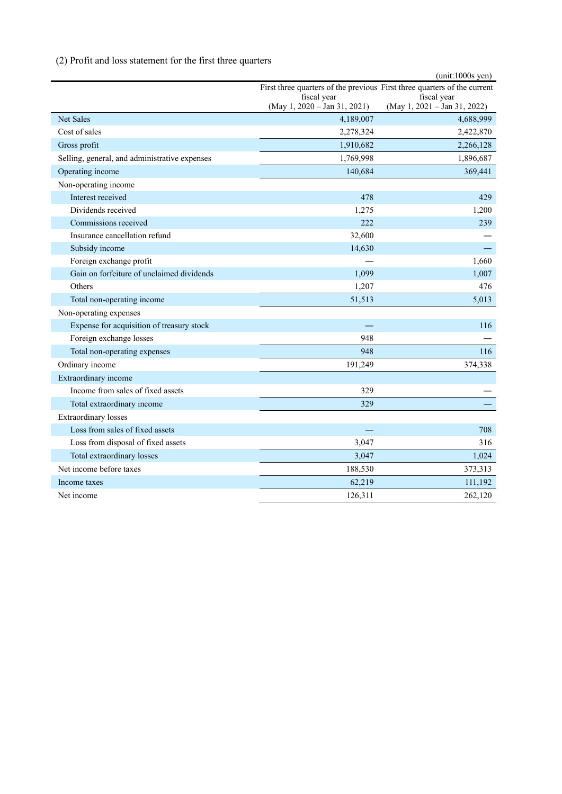# (2) Profit and loss statement for the first three quarters

|                                               | $(unit:1000s$ yen)                                                       |                                               |  |  |  |
|-----------------------------------------------|--------------------------------------------------------------------------|-----------------------------------------------|--|--|--|
|                                               | First three quarters of the previous First three quarters of the current |                                               |  |  |  |
|                                               | fiscal year<br>$(May 1, 2020 - Jan 31, 2021)$                            | fiscal year<br>$(May 1, 2021 - Jan 31, 2022)$ |  |  |  |
| <b>Net Sales</b>                              | 4,189,007                                                                | 4,688,999                                     |  |  |  |
| Cost of sales                                 | 2,278,324                                                                | 2,422,870                                     |  |  |  |
| Gross profit                                  | 1,910,682                                                                | 2,266,128                                     |  |  |  |
| Selling, general, and administrative expenses | 1,769,998                                                                | 1,896,687                                     |  |  |  |
| Operating income                              | 140,684                                                                  | 369,441                                       |  |  |  |
| Non-operating income                          |                                                                          |                                               |  |  |  |
| Interest received                             | 478                                                                      | 429                                           |  |  |  |
| Dividends received                            | 1,275                                                                    | 1,200                                         |  |  |  |
| Commissions received                          | 222                                                                      | 239                                           |  |  |  |
| Insurance cancellation refund                 | 32,600                                                                   |                                               |  |  |  |
| Subsidy income                                | 14,630                                                                   |                                               |  |  |  |
| Foreign exchange profit                       |                                                                          | 1,660                                         |  |  |  |
| Gain on forfeiture of unclaimed dividends     | 1,099                                                                    | 1,007                                         |  |  |  |
| Others                                        | 1,207                                                                    | 476                                           |  |  |  |
| Total non-operating income                    | 51,513                                                                   | 5,013                                         |  |  |  |
| Non-operating expenses                        |                                                                          |                                               |  |  |  |
| Expense for acquisition of treasury stock     |                                                                          | 116                                           |  |  |  |
| Foreign exchange losses                       | 948                                                                      |                                               |  |  |  |
| Total non-operating expenses                  | 948                                                                      | 116                                           |  |  |  |
| Ordinary income                               | 191,249                                                                  | 374,338                                       |  |  |  |
| Extraordinary income                          |                                                                          |                                               |  |  |  |
| Income from sales of fixed assets             | 329                                                                      |                                               |  |  |  |
| Total extraordinary income                    | 329                                                                      |                                               |  |  |  |
| <b>Extraordinary losses</b>                   |                                                                          |                                               |  |  |  |
| Loss from sales of fixed assets               |                                                                          | 708                                           |  |  |  |
| Loss from disposal of fixed assets            | 3,047                                                                    | 316                                           |  |  |  |
| Total extraordinary losses                    | 3,047                                                                    | 1,024                                         |  |  |  |
| Net income before taxes                       | 188,530                                                                  | 373,313                                       |  |  |  |
| Income taxes                                  | 62,219                                                                   | 111,192                                       |  |  |  |
| Net income                                    | 126,311                                                                  | 262,120                                       |  |  |  |